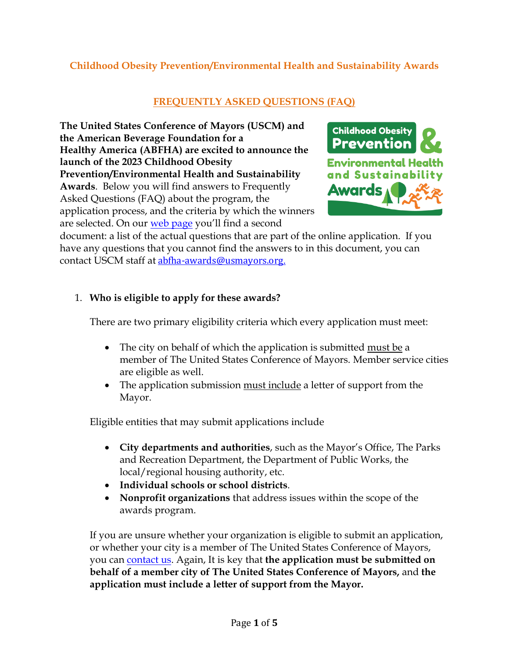# **Childhood Obesity Prevention/Environmental Health and Sustainability Awards**

# **FREQUENTLY ASKED QUESTIONS (FAQ)**

**The United States Conference of Mayors (USCM) and the American Beverage Foundation for a Healthy America (ABFHA) are excited to announce the launch of the 2023 Childhood Obesity Prevention/Environmental Health and Sustainability Awards**. Below you will find answers to Frequently Asked Questions (FAQ) about the program, the application process, and the criteria by which the winners are selected. On our [web page](http://www.usmayors.org/abfha-awards) you'll find a second



document: a list of the actual questions that are part of the online application. If you have any questions that you cannot find the answers to in this document, you can contact USCM staff at [abfha-awards@usmayors.org](mailto:abfha-awards@usmayors.org?subject=I%20have%20a%20question%20about%20the%20Childhood%20Obesity%20Prevention/Environmental%20Health%20&%20Sustainability%20Awards.)[.](mailto:abfha-awards@usmayors.org?subject=I%20have%20a%20question%20about%20the%20Childhood%20Obesity%20Prevention/Environmental%20Health%20&%20Sustainability%20Awards.)

## 1. **Who is eligible to apply for these awards?**

There are two primary eligibility criteria which every application must meet:

- The city on behalf of which the application is submitted must be a member of The United States Conference of Mayors. Member service cities are eligible as well.
- The application submission must include a letter of support from the Mayor.

Eligible entities that may submit applications include

- **City departments and authorities**, such as the Mayor's Office, The Parks and Recreation Department, the Department of Public Works, the local/regional housing authority, etc.
- **Individual schools or school districts**.
- **Nonprofit organizations** that address issues within the scope of the awards program.

If you are unsure whether your organization is eligible to submit an application, or whether your city is a member of The United States Conference of Mayors, you can [contact us.](mailto:abfha-awards@usmayors.org?subject=I%20have%20a%20question%20about%20the%20Childhood%20Obesity%20Prevention/Environmental%20Health%20&%20Sustainability%20Awards.) Again, It is key that **the application must be submitted on behalf of a member city of The United States Conference of Mayors,** and **the application must include a letter of support from the Mayor.**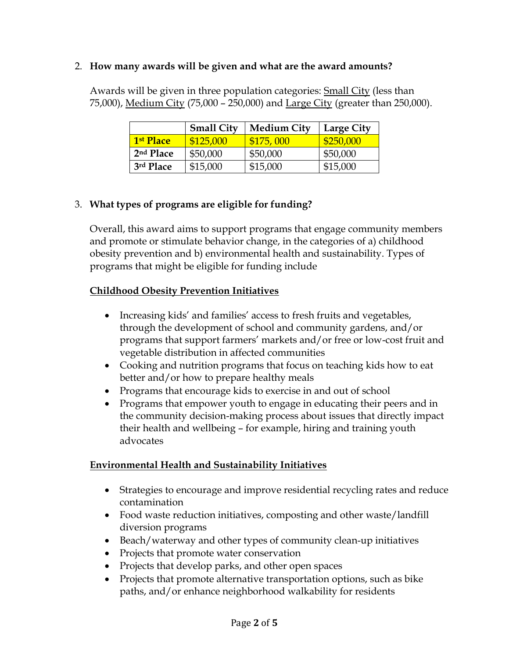### 2. **How many awards will be given and what are the award amounts?**

Awards will be given in three population categories: Small City (less than 75,000), Medium City (75,000 – 250,000) and Large City (greater than 250,000).

|                       | <b>Small City</b> | <b>Medium City</b> | <b>Large City</b> |
|-----------------------|-------------------|--------------------|-------------------|
| 1 <sup>st</sup> Place | \$125,000         | \$175,000          | \$250,000         |
| 2 <sup>nd</sup> Place | \$50,000          | \$50,000           | \$50,000          |
| 3rd Place             | \$15,000          | \$15,000           | \$15,000          |

## 3. **What types of programs are eligible for funding?**

Overall, this award aims to support programs that engage community members and promote or stimulate behavior change, in the categories of a) childhood obesity prevention and b) environmental health and sustainability. Types of programs that might be eligible for funding include

## **Childhood Obesity Prevention Initiatives**

- Increasing kids' and families' access to fresh fruits and vegetables, through the development of school and community gardens, and/or programs that support farmers' markets and/or free or low-cost fruit and vegetable distribution in affected communities
- Cooking and nutrition programs that focus on teaching kids how to eat better and/or how to prepare healthy meals
- Programs that encourage kids to exercise in and out of school
- Programs that empower youth to engage in educating their peers and in the community decision-making process about issues that directly impact their health and wellbeing – for example, hiring and training youth advocates

## **Environmental Health and Sustainability Initiatives**

- Strategies to encourage and improve residential recycling rates and reduce contamination
- Food waste reduction initiatives, composting and other waste/landfill diversion programs
- Beach/waterway and other types of community clean-up initiatives
- Projects that promote water conservation
- Projects that develop parks, and other open spaces
- Projects that promote alternative transportation options, such as bike paths, and/or enhance neighborhood walkability for residents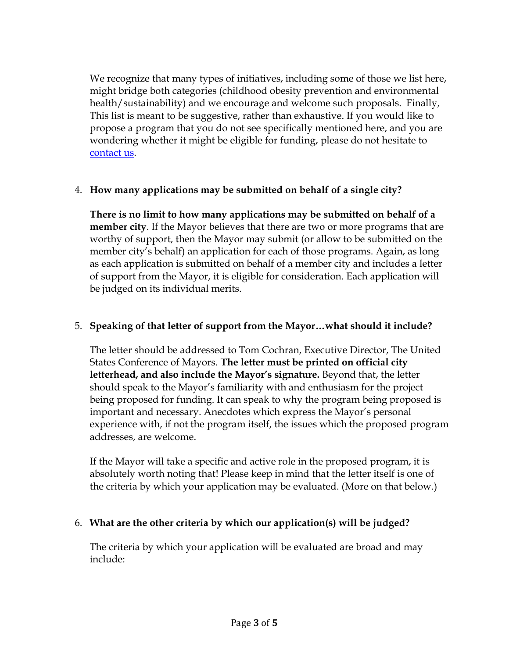We recognize that many types of initiatives, including some of those we list here, might bridge both categories (childhood obesity prevention and environmental health/sustainability) and we encourage and welcome such proposals. Finally, This list is meant to be suggestive, rather than exhaustive. If you would like to propose a program that you do not see specifically mentioned here, and you are wondering whether it might be eligible for funding, please do not hesitate to [contact us.](mailto:abfha-awards@usmayors.org?subject=I%20have%20a%20question%20about%20the%20Childhood%20Obesity%20Prevention/Environmental%20Health%20&%20Sustainability%20Awards.)

## 4. **How many applications may be submitted on behalf of a single city?**

**There is no limit to how many applications may be submitted on behalf of a member city**. If the Mayor believes that there are two or more programs that are worthy of support, then the Mayor may submit (or allow to be submitted on the member city's behalf) an application for each of those programs. Again, as long as each application is submitted on behalf of a member city and includes a letter of support from the Mayor, it is eligible for consideration. Each application will be judged on its individual merits.

### 5. **Speaking of that letter of support from the Mayor…what should it include?**

The letter should be addressed to Tom Cochran, Executive Director, The United States Conference of Mayors. **The letter must be printed on official city letterhead, and also include the Mayor's signature.** Beyond that, the letter should speak to the Mayor's familiarity with and enthusiasm for the project being proposed for funding. It can speak to why the program being proposed is important and necessary. Anecdotes which express the Mayor's personal experience with, if not the program itself, the issues which the proposed program addresses, are welcome.

If the Mayor will take a specific and active role in the proposed program, it is absolutely worth noting that! Please keep in mind that the letter itself is one of the criteria by which your application may be evaluated. (More on that below.)

#### 6. **What are the other criteria by which our application(s) will be judged?**

The criteria by which your application will be evaluated are broad and may include: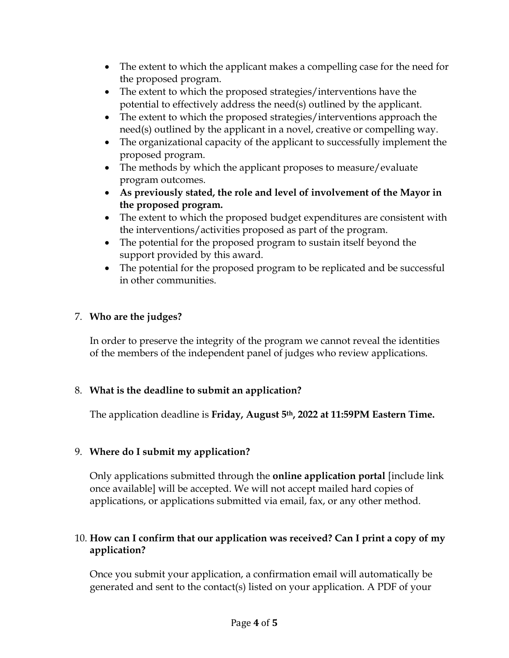- The extent to which the applicant makes a compelling case for the need for the proposed program.
- The extent to which the proposed strategies/interventions have the potential to effectively address the need(s) outlined by the applicant.
- The extent to which the proposed strategies/interventions approach the need(s) outlined by the applicant in a novel, creative or compelling way.
- The organizational capacity of the applicant to successfully implement the proposed program.
- The methods by which the applicant proposes to measure/evaluate program outcomes.
- **As previously stated, the role and level of involvement of the Mayor in the proposed program.**
- The extent to which the proposed budget expenditures are consistent with the interventions/activities proposed as part of the program.
- The potential for the proposed program to sustain itself beyond the support provided by this award.
- The potential for the proposed program to be replicated and be successful in other communities.

# 7. **Who are the judges?**

In order to preserve the integrity of the program we cannot reveal the identities of the members of the independent panel of judges who review applications.

## 8. **What is the deadline to submit an application?**

The application deadline is **Friday, August 5th, 2022 at 11:59PM Eastern Time.** 

## 9. **Where do I submit my application?**

Only applications submitted through the **online application portal** [include link once available] will be accepted. We will not accept mailed hard copies of applications, or applications submitted via email, fax, or any other method.

## 10. **How can I confirm that our application was received? Can I print a copy of my application?**

Once you submit your application, a confirmation email will automatically be generated and sent to the contact(s) listed on your application. A PDF of your